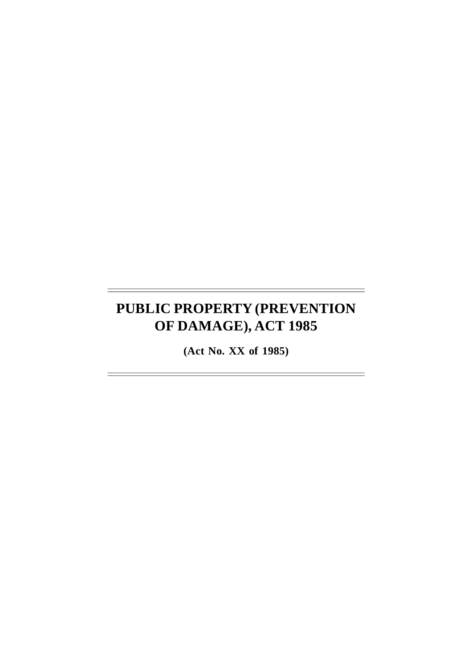# **PUBLIC PROPERTY (PREVENTION OF DAMAGE), ACT 1985**

**(Act No. XX of 1985)**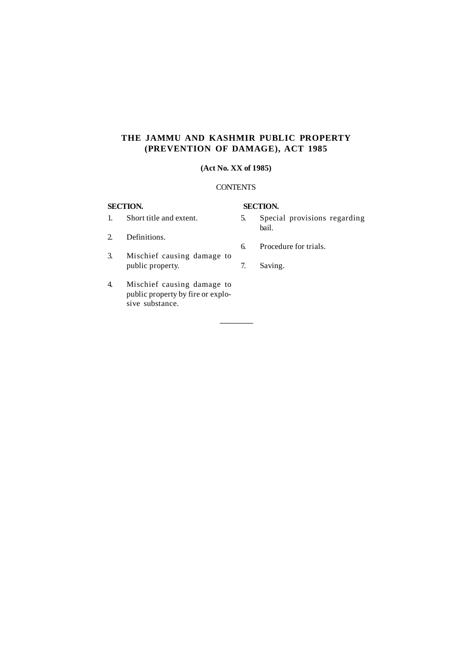# **THE JAMMU AND KASHMIR PUBLIC PROPERTY (PREVENTION OF DAMAGE), ACT 1985**

# **(Act No. XX of 1985)**

## **CONTENTS**

–––––––

# **SECTION. SECTION.**

- 5. Special provisions regarding bail.
- 2. Definitions.

1. Short title and extent.

- 3. Mischief causing damage to public property.
- 4. Mischief causing damage to public property by fire or explosive substance.
- 6. Procedure for trials.
- 7. Saving.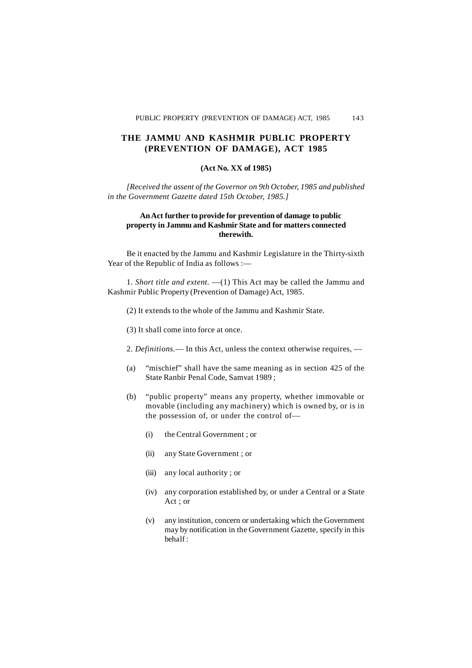## **THE JAMMU AND KASHMIR PUBLIC PROPERTY (PREVENTION OF DAMAGE), ACT 1985**

#### **(Act No. XX of 1985)**

*[Received the assent of the Governor on 9th October, 1985 and published in the Government Gazette dated 15th October, 1985.]*

#### **An Act further to provide for prevention of damage to public property in Jammu and Kashmir State and for matters connected therewith.**

Be it enacted by the Jammu and Kashmir Legislature in the Thirty-sixth Year of the Republic of India as follows :-

1. *Short title and extent. ––*(1) This Act may be called the Jammu and Kashmir Public Property (Prevention of Damage) Act, 1985.

- (2) It extends to the whole of the Jammu and Kashmir State.
- (3) It shall come into force at once.

2. *Definitions.––* In this Act, unless the context otherwise requires, ––

- (a) "mischief" shall have the same meaning as in section 425 of the State Ranbir Penal Code, Samvat 1989 ;
- (b) "public property" means any property, whether immovable or movable (including any machinery) which is owned by, or is in the possession of, or under the control of––
	- (i) the Central Government ; or
	- (ii) any State Government ; or
	- (iii) any local authority ; or
	- (iv) any corporation established by, or under a Central or a State Act ; or
	- (v) any institution, concern or undertaking which the Government may by notification in the Government Gazette, specify in this behalf :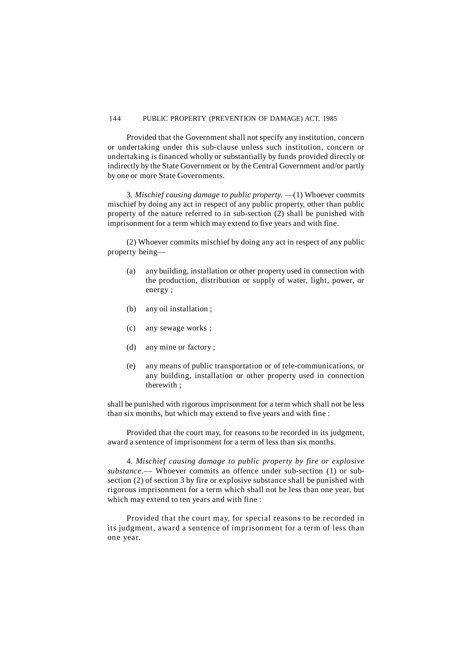#### 144 PUBLIC PROPERTY (PREVENTION OF DAMAGE) ACT, 1985

Provided that the Government shall not specify any institution, concern or undertaking under this sub-clause unless such institution, concern or undertaking is financed wholly or substantially by funds provided directly or indirectly by the State Government or by the Central Government and/or partly by one or more State Governments.

3. *Mischief causing damage to public property.* ––(1) Whoever commits mischief by doing any act in respect of any public property, other than public property of the nature referred to in sub-section (2) shall be punished with imprisonment for a term which may extend to five years and with fine.

(2) Whoever commits mischief by doing any act in respect of any public property being––

- (a) any building, installation or other property used in connection with the production, distribution or supply of water, light, power, or energy ;
- (b) any oil installation ;
- (c) any sewage works ;
- (d) any mine or factory ;
- (e) any means of public transportation or of tele-communications, or any building, installation or other property used in connection therewith ;

shall be punished with rigorous imprisonment for a term which shall not be less than six months, but which may extend to five years and with fine :

Provided that the court may, for reasons to be recorded in its judgment, award a sentence of imprisonment for a term of less than six months.

4. *Mischief causing damage to public property by fire or explosive substance*.–– Whoever commits an offence under sub-section (1) or subsection (2) of section 3 by fire or explosive substance shall be punished with rigorous imprisonment for a term which shall not be less than one year, but which may extend to ten years and with fine :

Provided that the court may, for special reasons to be recorded in its judgment, award a sentence of imprisonment for a term of less than one year.